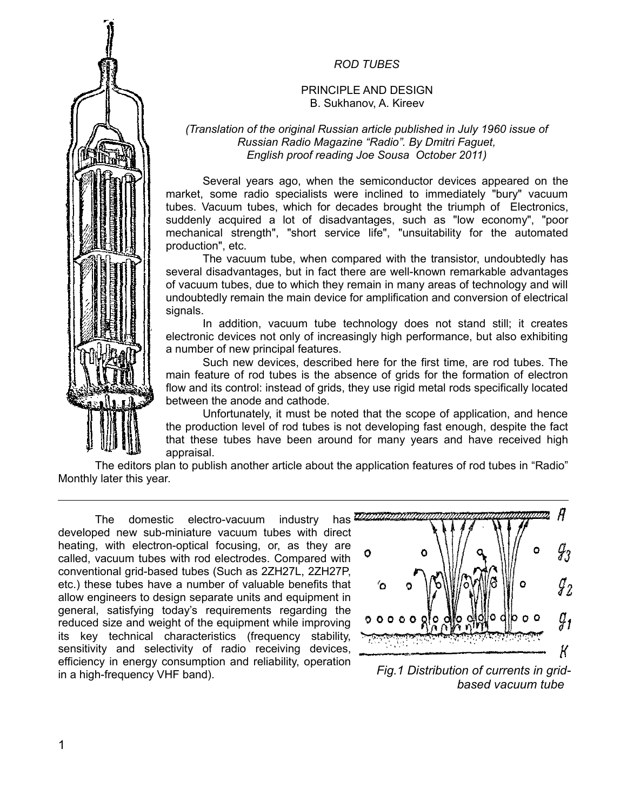## *ROD TUBES*

### PRINCIPLE AND DESIGN B. Sukhanov, A. Kireev

#### *(Translation of the original Russian article published in July 1960 issue of Russian Radio Magazine "Radio". By Dmitri Faguet, English proof reading Joe Sousa October 2011)*

Several years ago, when the semiconductor devices appeared on the market, some radio specialists were inclined to immediately "bury" vacuum tubes. Vacuum tubes, which for decades brought the triumph of Electronics, suddenly acquired a lot of disadvantages, such as "low economy", "poor mechanical strength", "short service life", "unsuitability for the automated production", etc.

The vacuum tube, when compared with the transistor, undoubtedly has several disadvantages, but in fact there are well-known remarkable advantages of vacuum tubes, due to which they remain in many areas of technology and will undoubtedly remain the main device for amplification and conversion of electrical signals.

In addition, vacuum tube technology does not stand still; it creates electronic devices not only of increasingly high performance, but also exhibiting a number of new principal features.

Such new devices, described here for the first time, are rod tubes. The main feature of rod tubes is the absence of grids for the formation of electron flow and its control: instead of grids, they use rigid metal rods specifically located between the anode and cathode.

Unfortunately, it must be noted that the scope of application, and hence the production level of rod tubes is not developing fast enough, despite the fact that these tubes have been around for many years and have received high appraisal.

The editors plan to publish another article about the application features of rod tubes in "Radio" Monthly later this year.

The domestic electro-vacuum industry has  $\overline{w}\overline{x}$ developed new sub-miniature vacuum tubes with direct heating, with electron-optical focusing, or, as they are called, vacuum tubes with rod electrodes. Compared with conventional grid-based tubes (Such as 2ZH27L, 2ZH27P, etc.) these tubes have a number of valuable benefits that allow engineers to design separate units and equipment in general, satisfying today's requirements regarding the reduced size and weight of the equipment while improving its key technical characteristics (frequency stability, sensitivity and selectivity of radio receiving devices, efficiency in energy consumption and reliability, operation in a high-frequency VHF band).



*Fig.1 Distribution of currents in gridbased vacuum tube* 

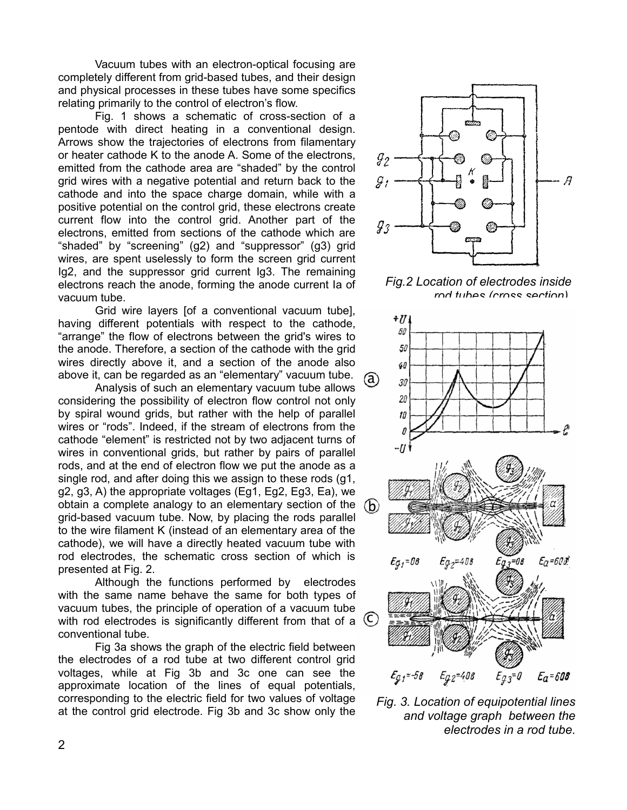Vacuum tubes with an electron-optical focusing are completely different from grid-based tubes, and their design and physical processes in these tubes have some specifics relating primarily to the control of electron's flow.

Fig. 1 shows a schematic of cross-section of a pentode with direct heating in a conventional design. Arrows show the trajectories of electrons from filamentary or heater cathode K to the anode A. Some of the electrons, emitted from the cathode area are "shaded" by the control grid wires with a negative potential and return back to the cathode and into the space charge domain, while with a positive potential on the control grid, these electrons create current flow into the control grid. Another part of the electrons, emitted from sections of the cathode which are "shaded" by "screening" (g2) and "suppressor" (g3) grid wires, are spent uselessly to form the screen grid current Ig2, and the suppressor grid current Ig3. The remaining electrons reach the anode, forming the anode current Ia of vacuum tube.

Grid wire layers [of a conventional vacuum tube], having different potentials with respect to the cathode, "arrange" the flow of electrons between the grid's wires to the anode. Therefore, a section of the cathode with the grid wires directly above it, and a section of the anode also above it, can be regarded as an "elementary" vacuum tube.

Analysis of such an elementary vacuum tube allows considering the possibility of electron flow control not only by spiral wound grids, but rather with the help of parallel wires or "rods". Indeed, if the stream of electrons from the cathode "element" is restricted not by two adjacent turns of wires in conventional grids, but rather by pairs of parallel rods, and at the end of electron flow we put the anode as a single rod, and after doing this we assign to these rods (g1, g2, g3, A) the appropriate voltages (Eg1, Eg2, Eg3, Ea), we obtain a complete analogy to an elementary section of the  $(b)$ grid-based vacuum tube. Now, by placing the rods parallel to the wire filament K (instead of an elementary area of the cathode), we will have a directly heated vacuum tube with rod electrodes, the schematic cross section of which is presented at Fig. 2.

Although the functions performed by electrodes with the same name behave the same for both types of vacuum tubes, the principle of operation of a vacuum tube with rod electrodes is significantly different from that of a  $\mathfrak C$ conventional tube.

Fig 3a shows the graph of the electric field between the electrodes of a rod tube at two different control grid voltages, while at Fig 3b and 3c one can see the approximate location of the lines of equal potentials, corresponding to the electric field for two values of voltage at the control grid electrode. Fig 3b and 3c show only the



*Fig.2 Location of electrodes inside rod tubes (cross section).*



*Fig. 3. Location of equipotential lines and voltage graph between the electrodes in a rod tube.*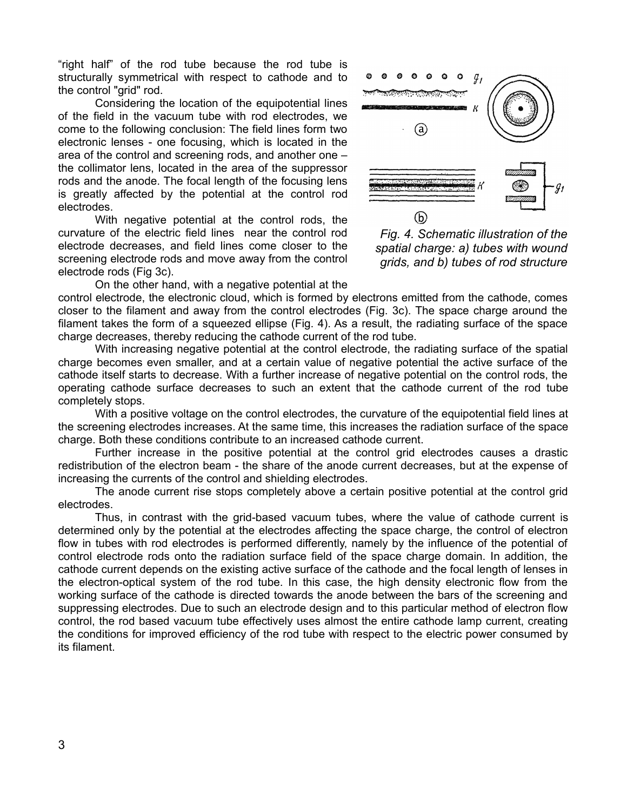"right half" of the rod tube because the rod tube is structurally symmetrical with respect to cathode and to the control "grid" rod.

Considering the location of the equipotential lines of the field in the vacuum tube with rod electrodes, we come to the following conclusion: The field lines form two electronic lenses - one focusing, which is located in the area of the control and screening rods, and another one – the collimator lens, located in the area of the suppressor rods and the anode. The focal length of the focusing lens is greatly affected by the potential at the control rod electrodes.

With negative potential at the control rods, the curvature of the electric field lines near the control rod electrode decreases, and field lines come closer to the screening electrode rods and move away from the control electrode rods (Fig 3c).



*Fig. 4. Schematic illustration of the spatial charge: a) tubes with wound grids, and b) tubes of rod structure*

On the other hand, with a negative potential at the

control electrode, the electronic cloud, which is formed by electrons emitted from the cathode, comes closer to the filament and away from the control electrodes (Fig. 3c). The space charge around the filament takes the form of a squeezed ellipse (Fig. 4). As a result, the radiating surface of the space charge decreases, thereby reducing the cathode current of the rod tube.

With increasing negative potential at the control electrode, the radiating surface of the spatial charge becomes even smaller, and at a certain value of negative potential the active surface of the cathode itself starts to decrease. With a further increase of negative potential on the control rods, the operating cathode surface decreases to such an extent that the cathode current of the rod tube completely stops.

With a positive voltage on the control electrodes, the curvature of the equipotential field lines at the screening electrodes increases. At the same time, this increases the radiation surface of the space charge. Both these conditions contribute to an increased cathode current.

Further increase in the positive potential at the control grid electrodes causes a drastic redistribution of the electron beam - the share of the anode current decreases, but at the expense of increasing the currents of the control and shielding electrodes.

The anode current rise stops completely above a certain positive potential at the control grid electrodes.

Thus, in contrast with the grid-based vacuum tubes, where the value of cathode current is determined only by the potential at the electrodes affecting the space charge, the control of electron flow in tubes with rod electrodes is performed differently, namely by the influence of the potential of control electrode rods onto the radiation surface field of the space charge domain. In addition, the cathode current depends on the existing active surface of the cathode and the focal length of lenses in the electron-optical system of the rod tube. In this case, the high density electronic flow from the working surface of the cathode is directed towards the anode between the bars of the screening and suppressing electrodes. Due to such an electrode design and to this particular method of electron flow control, the rod based vacuum tube effectively uses almost the entire cathode lamp current, creating the conditions for improved efficiency of the rod tube with respect to the electric power consumed by its filament.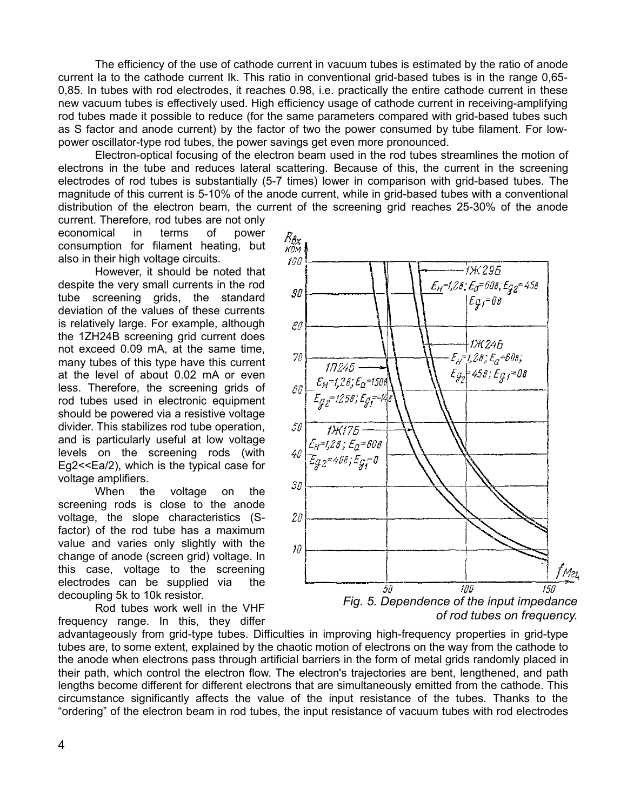The efficiency of the use of cathode current in vacuum tubes is estimated by the ratio of anode current Ia to the cathode current Ik. This ratio in conventional grid-based tubes is in the range 0,65- 0,85. In tubes with rod electrodes, it reaches 0.98, i.e. practically the entire cathode current in these new vacuum tubes is effectively used. High efficiency usage of cathode current in receiving-amplifying rod tubes made it possible to reduce (for the same parameters compared with grid-based tubes such as S factor and anode current) by the factor of two the power consumed by tube filament. For lowpower oscillator-type rod tubes, the power savings get even more pronounced.

Electron-optical focusing of the electron beam used in the rod tubes streamlines the motion of electrons in the tube and reduces lateral scattering. Because of this, the current in the screening electrodes of rod tubes is substantially (5-7 times) lower in comparison with grid-based tubes. The magnitude of this current is 5-10% of the anode current, while in grid-based tubes with a conventional distribution of the electron beam, the current of the screening grid reaches 25-30% of the anode

current. Therefore, rod tubes are not only economical in terms of power consumption for filament heating, but also in their high voltage circuits.

However, it should be noted that despite the very small currents in the rod tube screening grids, the standard deviation of the values of these currents is relatively large. For example, although the 1ZH24B screening grid current does not exceed 0.09 mA, at the same time, many tubes of this type have this current at the level of about 0.02 mA or even less. Therefore, the screening grids of rod tubes used in electronic equipment should be powered via a resistive voltage divider. This stabilizes rod tube operation, and is particularly useful at low voltage levels on the screening rods (with Eg2<<Ea/2), which is the typical case for voltage amplifiers.

When the voltage on the screening rods is close to the anode voltage, the slope characteristics (Sfactor) of the rod tube has a maximum value and varies only slightly with the change of anode (screen grid) voltage. In this case, voltage to the screening electrodes can be supplied via the decoupling 5k to 10k resistor.

Rod tubes work well in the VHF frequency range. In this, they differ



*Fig. 5. Dependence of the input impedance of rod tubes on frequency.*

advantageously from grid-type tubes. Difficulties in improving high-frequency properties in grid-type tubes are, to some extent, explained by the chaotic motion of electrons on the way from the cathode to the anode when electrons pass through artificial barriers in the form of metal grids randomly placed in their path, which control the electron flow. The electron's trajectories are bent, lengthened, and path lengths become different for different electrons that are simultaneously emitted from the cathode. This circumstance significantly affects the value of the input resistance of the tubes. Thanks to the "ordering" of the electron beam in rod tubes, the input resistance of vacuum tubes with rod electrodes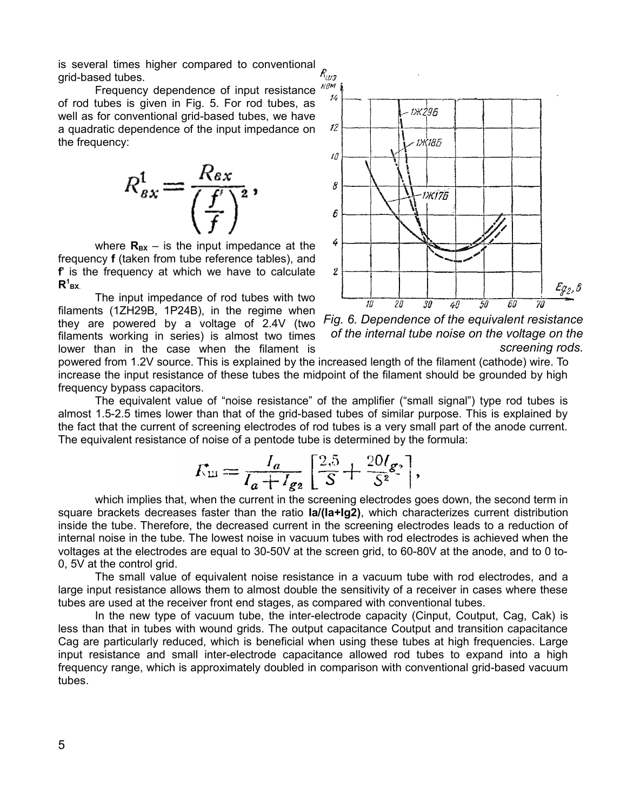is several times higher compared to conventional grid-based tubes.

Frequency dependence of input resistance of rod tubes is given in Fig. 5. For rod tubes, as well as for conventional grid-based tubes, we have a quadratic dependence of the input impedance on the frequency:



where  $R_{BX}$  – is the input impedance at the frequency **f** (taken from tube reference tables), and **f**' is the frequency at which we have to calculate  $R^1_{\mathsf{BX}}$ 

The input impedance of rod tubes with two filaments (1ZH29B, 1P24B), in the regime when they are powered by a voltage of 2.4V (two filaments working in series) is almost two times lower than in the case when the filament is



*Fig. 6. Dependence of the equivalent resistance of the internal tube noise on the voltage on the screening rods.*

powered from 1.2V source. This is explained by the increased length of the filament (cathode) wire. To increase the input resistance of these tubes the midpoint of the filament should be grounded by high frequency bypass capacitors.

The equivalent value of "noise resistance" of the amplifier ("small signal") type rod tubes is almost 1.5-2.5 times lower than that of the grid-based tubes of similar purpose. This is explained by the fact that the current of screening electrodes of rod tubes is a very small part of the anode current. The equivalent resistance of noise of a pentode tube is determined by the formula:

$$
\mathcal{K}_{\rm III} = \frac{I_a}{I_a + I_{g2}} \left[ \frac{2.5}{S} + \frac{20 I_{g2}}{S^2} \right],
$$

which implies that, when the current in the screening electrodes goes down, the second term in square brackets decreases faster than the ratio **Ia/(Ia+Ig2)**, which characterizes current distribution inside the tube. Therefore, the decreased current in the screening electrodes leads to a reduction of internal noise in the tube. The lowest noise in vacuum tubes with rod electrodes is achieved when the voltages at the electrodes are equal to 30-50V at the screen grid, to 60-80V at the anode, and to 0 to-0, 5V at the control grid.

The small value of equivalent noise resistance in a vacuum tube with rod electrodes, and a large input resistance allows them to almost double the sensitivity of a receiver in cases where these tubes are used at the receiver front end stages, as compared with conventional tubes.

In the new type of vacuum tube, the inter-electrode capacity (Cinput, Coutput, Cag, Cak) is less than that in tubes with wound grids. The output capacitance Coutput and transition capacitance Cag are particularly reduced, which is beneficial when using these tubes at high frequencies. Large input resistance and small inter-electrode capacitance allowed rod tubes to expand into a high frequency range, which is approximately doubled in comparison with conventional grid-based vacuum tubes.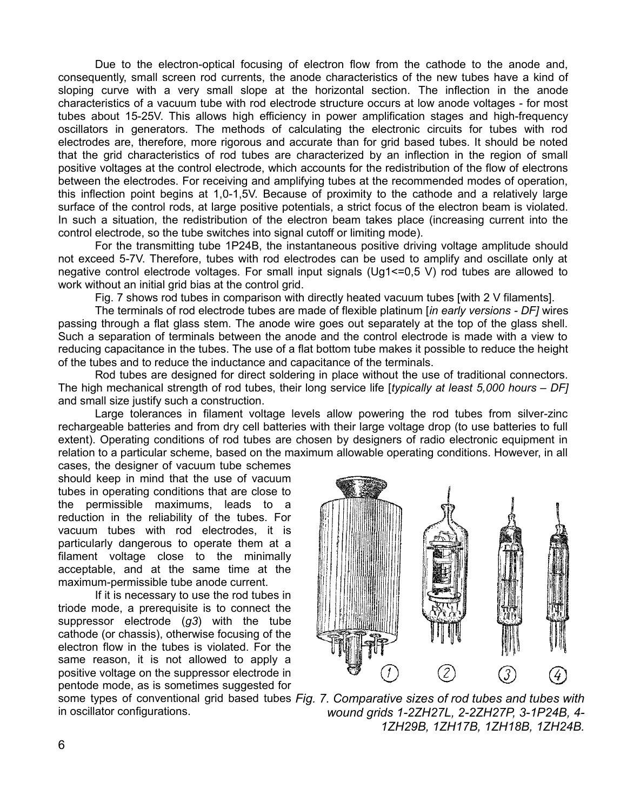Due to the electron-optical focusing of electron flow from the cathode to the anode and, consequently, small screen rod currents, the anode characteristics of the new tubes have a kind of sloping curve with a very small slope at the horizontal section. The inflection in the anode characteristics of a vacuum tube with rod electrode structure occurs at low anode voltages - for most tubes about 15-25V. This allows high efficiency in power amplification stages and high-frequency oscillators in generators. The methods of calculating the electronic circuits for tubes with rod electrodes are, therefore, more rigorous and accurate than for grid based tubes. It should be noted that the grid characteristics of rod tubes are characterized by an inflection in the region of small positive voltages at the control electrode, which accounts for the redistribution of the flow of electrons between the electrodes. For receiving and amplifying tubes at the recommended modes of operation, this inflection point begins at 1,0-1,5V. Because of proximity to the cathode and a relatively large surface of the control rods, at large positive potentials, a strict focus of the electron beam is violated. In such a situation, the redistribution of the electron beam takes place (increasing current into the control electrode, so the tube switches into signal cutoff or limiting mode).

For the transmitting tube 1P24B, the instantaneous positive driving voltage amplitude should not exceed 5-7V. Therefore, tubes with rod electrodes can be used to amplify and oscillate only at negative control electrode voltages. For small input signals (Ug1<=0,5 V) rod tubes are allowed to work without an initial grid bias at the control grid.

Fig. 7 shows rod tubes in comparison with directly heated vacuum tubes [with 2 V filaments].

The terminals of rod electrode tubes are made of flexible platinum [*in early versions - DF]* wires passing through a flat glass stem. The anode wire goes out separately at the top of the glass shell. Such a separation of terminals between the anode and the control electrode is made with a view to reducing capacitance in the tubes. The use of a flat bottom tube makes it possible to reduce the height of the tubes and to reduce the inductance and capacitance of the terminals.

Rod tubes are designed for direct soldering in place without the use of traditional connectors. The high mechanical strength of rod tubes, their long service life [*typically at least 5,000 hours – DF]* and small size justify such a construction.

Large tolerances in filament voltage levels allow powering the rod tubes from silver-zinc rechargeable batteries and from dry cell batteries with their large voltage drop (to use batteries to full extent). Operating conditions of rod tubes are chosen by designers of radio electronic equipment in relation to a particular scheme, based on the maximum allowable operating conditions. However, in all

cases, the designer of vacuum tube schemes should keep in mind that the use of vacuum tubes in operating conditions that are close to the permissible maximums, leads to a reduction in the reliability of the tubes. For vacuum tubes with rod electrodes, it is particularly dangerous to operate them at a filament voltage close to the minimally acceptable, and at the same time at the maximum-permissible tube anode current.

If it is necessary to use the rod tubes in triode mode, a prerequisite is to connect the suppressor electrode (*g3*) with the tube cathode (or chassis), otherwise focusing of the electron flow in the tubes is violated. For the same reason, it is not allowed to apply a positive voltage on the suppressor electrode in pentode mode, as is sometimes suggested for

in oscillator configurations.



some types of conventional grid based tubes *Fig. 7. Comparative sizes of rod tubes and tubes with wound grids 1-2ZH27L, 2-2ZH27P, 3-1P24B, 4- 1ZH29B, 1ZH17B, 1ZH18B, 1ZH24B.*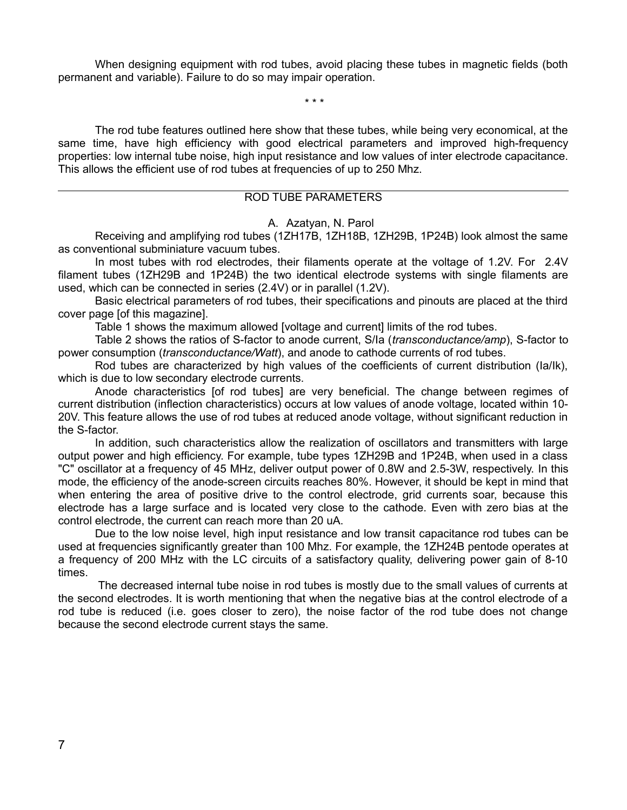When designing equipment with rod tubes, avoid placing these tubes in magnetic fields (both permanent and variable). Failure to do so may impair operation.

\* \* \*

The rod tube features outlined here show that these tubes, while being very economical, at the same time, have high efficiency with good electrical parameters and improved high-frequency properties: low internal tube noise, high input resistance and low values of inter electrode capacitance. This allows the efficient use of rod tubes at frequencies of up to 250 Mhz.

#### ROD TUBE PARAMETERS

A. Azatyan, N. Parol

Receiving and amplifying rod tubes (1ZH17B, 1ZH18B, 1ZH29B, 1P24B) look almost the same as conventional subminiature vacuum tubes.

In most tubes with rod electrodes, their filaments operate at the voltage of 1.2V. For 2.4V filament tubes (1ZH29B and 1P24B) the two identical electrode systems with single filaments are used, which can be connected in series (2.4V) or in parallel (1.2V).

Basic electrical parameters of rod tubes, their specifications and pinouts are placed at the third cover page [of this magazine].

Table 1 shows the maximum allowed [voltage and current] limits of the rod tubes.

Table 2 shows the ratios of S-factor to anode current, S/Ia (*transconductance/amp*), S-factor to power consumption (*transconductance/Watt*), and anode to cathode currents of rod tubes.

Rod tubes are characterized by high values of the coefficients of current distribution (Ia/Ik), which is due to low secondary electrode currents.

Anode characteristics [of rod tubes] are very beneficial. The change between regimes of current distribution (inflection characteristics) occurs at low values of anode voltage, located within 10- 20V. This feature allows the use of rod tubes at reduced anode voltage, without significant reduction in the S-factor.

In addition, such characteristics allow the realization of oscillators and transmitters with large output power and high efficiency. For example, tube types 1ZH29B and 1P24B, when used in a class "C" oscillator at a frequency of 45 MHz, deliver output power of 0.8W and 2.5-3W, respectively. In this mode, the efficiency of the anode-screen circuits reaches 80%. However, it should be kept in mind that when entering the area of positive drive to the control electrode, grid currents soar, because this electrode has a large surface and is located very close to the cathode. Even with zero bias at the control electrode, the current can reach more than 20 uA.

Due to the low noise level, high input resistance and low transit capacitance rod tubes can be used at frequencies significantly greater than 100 Mhz. For example, the 1ZH24B pentode operates at a frequency of 200 MHz with the LC circuits of a satisfactory quality, delivering power gain of 8-10 times.

The decreased internal tube noise in rod tubes is mostly due to the small values of currents at the second electrodes. It is worth mentioning that when the negative bias at the control electrode of a rod tube is reduced (i.e. goes closer to zero), the noise factor of the rod tube does not change because the second electrode current stays the same.